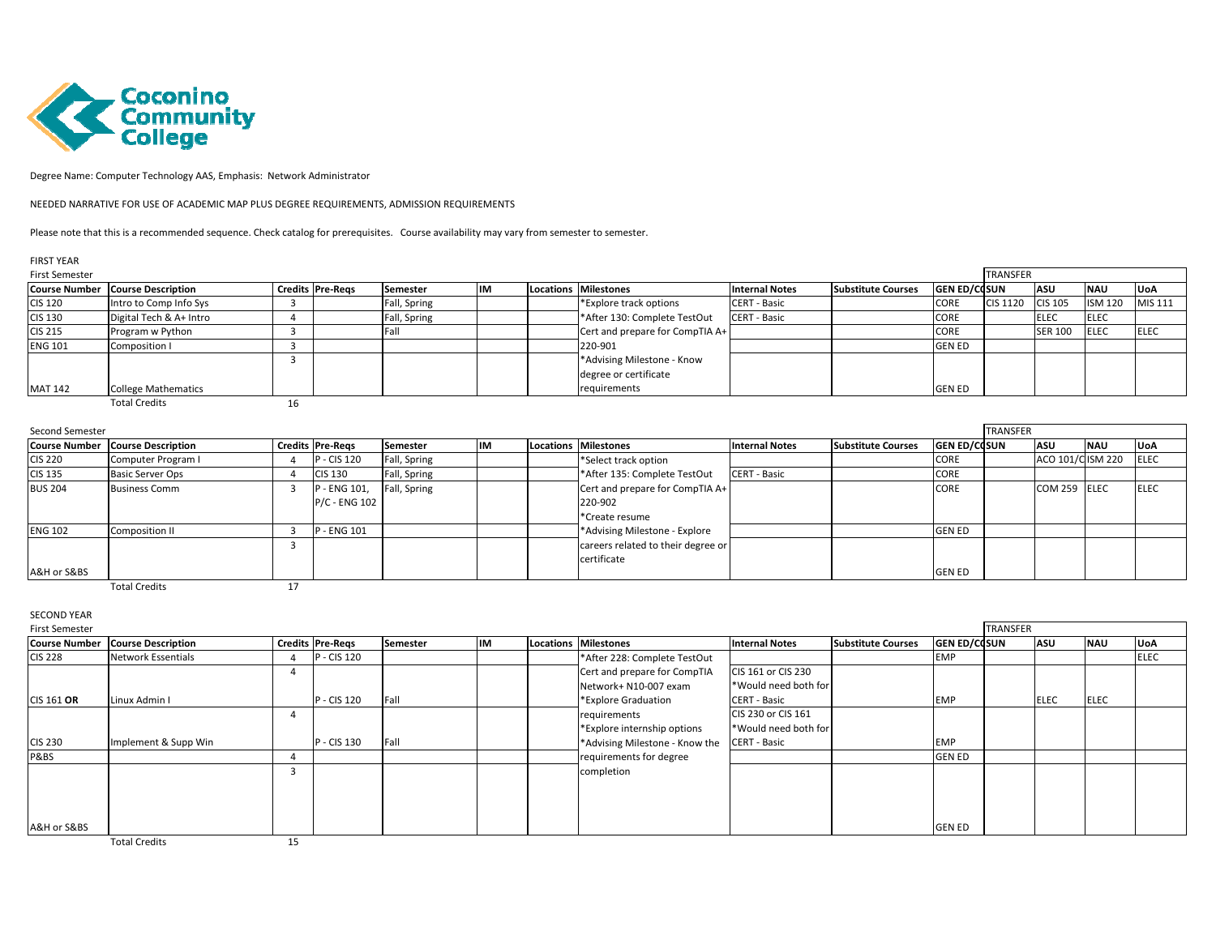

Degree Name: Computer Technology AAS, Emphasis: Network Administrator

NEEDED NARRATIVE FOR USE OF ACADEMIC MAP PLUS DEGREE REQUIREMENTS, ADMISSION REQUIREMENTS

Please note that this is a recommended sequence. Check catalog for prerequisites. Course availability may vary from semester to semester.

## FIRST YEAR

| <b>First Semester</b> |                                         |                         |                 |  |  |                                 |                       |                           |                     |                  | <b>TRANSFER</b> |                |              |  |  |
|-----------------------|-----------------------------------------|-------------------------|-----------------|--|--|---------------------------------|-----------------------|---------------------------|---------------------|------------------|-----------------|----------------|--------------|--|--|
|                       | <b>Course Number Course Description</b> | <b>Credits Pre-Regs</b> | <b>Semester</b> |  |  | Locations Milestones            | <b>Internal Notes</b> | <b>Substitute Courses</b> | <b>GEN ED/COSUN</b> |                  | <b>ASU</b>      | <b>NAU</b>     | <b>IUoA</b>  |  |  |
| <b>CIS 120</b>        | Intro to Comp Info Sys                  |                         | Fall, Spring    |  |  | *Explore track options          | <b>CERT - Basic</b>   |                           | CORE                | CIS 1120 CIS 105 |                 | <b>ISM 120</b> | MIS 111      |  |  |
| <b>CIS 130</b>        | Digital Tech & A+ Intro                 |                         | Fall, Spring    |  |  | *After 130: Complete TestOut    | <b>CERT - Basic</b>   |                           | <b>CORE</b>         |                  | <b>ELEC</b>     | <b>ELEC</b>    |              |  |  |
| <b>CIS 215</b>        | Program w Python                        |                         |                 |  |  | Cert and prepare for CompTIA A+ |                       |                           | <b>CORE</b>         |                  | <b>SER 100</b>  | <b>ELEC</b>    | <b>IELEC</b> |  |  |
| <b>ENG 101</b>        | Composition I                           |                         |                 |  |  | 220-901                         |                       |                           | <b>GEN ED</b>       |                  |                 |                |              |  |  |
|                       |                                         |                         |                 |  |  | *Advising Milestone - Know      |                       |                           |                     |                  |                 |                |              |  |  |
|                       |                                         |                         |                 |  |  | degree or certificate           |                       |                           |                     |                  |                 |                |              |  |  |
| <b>MAT 142</b>        | <b>College Mathematics</b>              |                         |                 |  |  | requirements                    |                       |                           | <b>GEN ED</b>       |                  |                 |                |              |  |  |
|                       | <b>Total Credits</b>                    |                         |                 |  |  |                                 |                       |                           |                     |                  |                 |                |              |  |  |

| Second Semester |                                         |  |                         |              |    |  |                                    |                       |                           |                     | <b>TRANSFER</b> |                  |            |             |
|-----------------|-----------------------------------------|--|-------------------------|--------------|----|--|------------------------------------|-----------------------|---------------------------|---------------------|-----------------|------------------|------------|-------------|
|                 | <b>Course Number Course Description</b> |  | <b>Credits Pre-Regs</b> | Semester     | IM |  | Locations Milestones               | <b>Internal Notes</b> | <b>Substitute Courses</b> | <b>GEN ED/COSUN</b> |                 | <b>ASU</b>       | <b>NAU</b> | <b>UoA</b>  |
| <b>CIS 220</b>  | Computer Program I                      |  | P - CIS 120             | Fall, Spring |    |  | *Select track option               |                       |                           | <b>CORE</b>         |                 | ACO 101/CISM 220 |            | <b>ELEC</b> |
| <b>CIS 135</b>  | <b>Basic Server Ops</b>                 |  | <b>CIS 130</b>          | Fall, Spring |    |  | *After 135: Complete TestOut       | <b>CERT - Basic</b>   |                           | CORE                |                 |                  |            |             |
| <b>BUS 204</b>  | <b>Business Comm</b>                    |  | P - ENG 101,            | Fall, Spring |    |  | Cert and prepare for CompTIA A+    |                       |                           | CORE                |                 | COM 259 ELEC     |            | <b>ELEC</b> |
|                 |                                         |  | P/C - ENG 102           |              |    |  | 220-902                            |                       |                           |                     |                 |                  |            |             |
|                 |                                         |  |                         |              |    |  | *Create resume                     |                       |                           |                     |                 |                  |            |             |
| <b>ENG 102</b>  | Composition II                          |  | P - ENG 101             |              |    |  | *Advising Milestone - Explore      |                       |                           | <b>GEN ED</b>       |                 |                  |            |             |
|                 |                                         |  |                         |              |    |  | careers related to their degree or |                       |                           |                     |                 |                  |            |             |
|                 |                                         |  |                         |              |    |  | certificate                        |                       |                           |                     |                 |                  |            |             |
| A&H or S&BS     |                                         |  |                         |              |    |  |                                    |                       |                           | <b>GEN ED</b>       |                 |                  |            |             |
|                 | <b>Total Credits</b>                    |  |                         |              |    |  |                                    |                       |                           |                     |                 |                  |            |             |

SECOND YEAR

| <b>First Semester</b> |                           |  |                         |          |  |  |                                |                       |                           | <b>TRANSFER</b>     |  |             |             |             |
|-----------------------|---------------------------|--|-------------------------|----------|--|--|--------------------------------|-----------------------|---------------------------|---------------------|--|-------------|-------------|-------------|
| <b>Course Number</b>  | <b>Course Description</b> |  | <b>Credits Pre-Regs</b> | Semester |  |  | Locations Milestones           | <b>Internal Notes</b> | <b>Substitute Courses</b> | <b>GEN ED/COSUN</b> |  | ASU         | <b>NAU</b>  | <b>UoA</b>  |
| <b>CIS 228</b>        | <b>Network Essentials</b> |  | P - CIS 120             |          |  |  | *After 228: Complete TestOut   |                       |                           | <b>EMP</b>          |  |             |             | <b>ELEC</b> |
|                       |                           |  |                         |          |  |  | Cert and prepare for CompTIA   | CIS 161 or CIS 230    |                           |                     |  |             |             |             |
|                       |                           |  |                         |          |  |  | Network+ N10-007 exam          | *Would need both for  |                           |                     |  |             |             |             |
| <b>CIS 161 OR</b>     | Linux Admin I             |  | P - CIS 120             | Fall     |  |  | *Explore Graduation            | <b>CERT - Basic</b>   |                           | <b>EMP</b>          |  | <b>ELEC</b> | <b>ELEC</b> |             |
|                       |                           |  |                         |          |  |  | requirements                   | CIS 230 or CIS 161    |                           |                     |  |             |             |             |
|                       |                           |  |                         |          |  |  | *Explore internship options    | *Would need both for  |                           |                     |  |             |             |             |
| <b>CIS 230</b>        | Implement & Supp Win      |  | P - CIS 130             | Fall     |  |  | *Advising Milestone - Know the | <b>CERT - Basic</b>   |                           | <b>EMP</b>          |  |             |             |             |
| P&BS                  |                           |  |                         |          |  |  | requirements for degree        |                       |                           | <b>GEN ED</b>       |  |             |             |             |
|                       |                           |  |                         |          |  |  | completion                     |                       |                           |                     |  |             |             |             |
|                       |                           |  |                         |          |  |  |                                |                       |                           |                     |  |             |             |             |
|                       |                           |  |                         |          |  |  |                                |                       |                           |                     |  |             |             |             |
|                       |                           |  |                         |          |  |  |                                |                       |                           |                     |  |             |             |             |
| A&H or S&BS           |                           |  |                         |          |  |  |                                |                       |                           | <b>GEN ED</b>       |  |             |             |             |

Total Creditss and  $15$